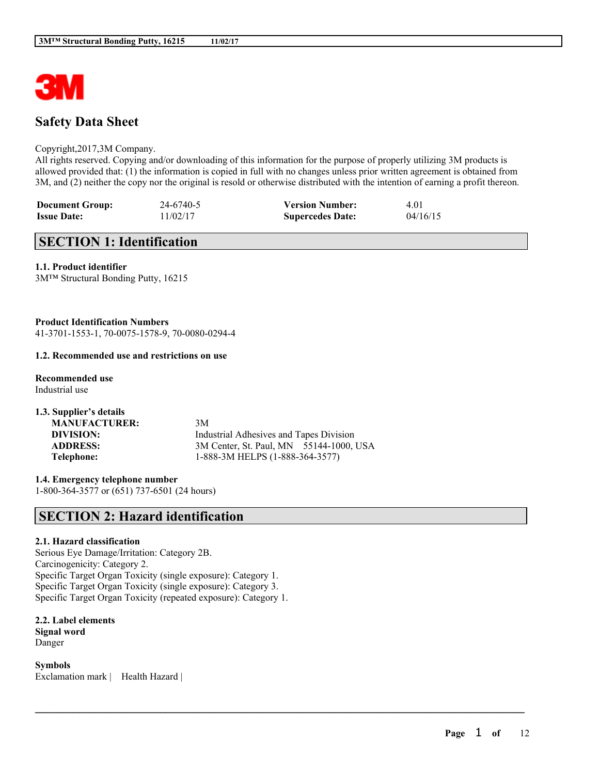

# **Safety Data Sheet**

### Copyright,2017,3M Company.

All rights reserved. Copying and/or downloading of this information for the purpose of properly utilizing 3M products is allowed provided that: (1) the information is copied in full with no changes unless prior written agreement is obtained from 3M, and (2) neither the copy nor the original is resold or otherwise distributed with the intention of earning a profit thereon.

 $\mathcal{L}_\mathcal{L} = \mathcal{L}_\mathcal{L} = \mathcal{L}_\mathcal{L} = \mathcal{L}_\mathcal{L} = \mathcal{L}_\mathcal{L} = \mathcal{L}_\mathcal{L} = \mathcal{L}_\mathcal{L} = \mathcal{L}_\mathcal{L} = \mathcal{L}_\mathcal{L} = \mathcal{L}_\mathcal{L} = \mathcal{L}_\mathcal{L} = \mathcal{L}_\mathcal{L} = \mathcal{L}_\mathcal{L} = \mathcal{L}_\mathcal{L} = \mathcal{L}_\mathcal{L} = \mathcal{L}_\mathcal{L} = \mathcal{L}_\mathcal{L}$ 

| <b>Document Group:</b> | 24-6740-5 | <b>Version Number:</b>  | 4.01     |
|------------------------|-----------|-------------------------|----------|
| <b>Issue Date:</b>     | 11/02/17  | <b>Supercedes Date:</b> | 04/16/15 |

# **SECTION 1: Identification**

## **1.1. Product identifier**

3M™ Structural Bonding Putty, 16215

**Product Identification Numbers** 41-3701-1553-1, 70-0075-1578-9, 70-0080-0294-4

### **1.2. Recommended use and restrictions on use**

#### **Recommended use** Industrial use

**1.3. Supplier's details MANUFACTURER:** 3M **DIVISION:** Industrial Adhesives and Tapes Division **ADDRESS:** 3M Center, St. Paul, MN 55144-1000, USA **Telephone:** 1-888-3M HELPS (1-888-364-3577)

**1.4. Emergency telephone number** 1-800-364-3577 or (651) 737-6501 (24 hours)

# **SECTION 2: Hazard identification**

# **2.1. Hazard classification**

Serious Eye Damage/Irritation: Category 2B. Carcinogenicity: Category 2. Specific Target Organ Toxicity (single exposure): Category 1. Specific Target Organ Toxicity (single exposure): Category 3. Specific Target Organ Toxicity (repeated exposure): Category 1.

**2.2. Label elements Signal word** Danger

**Symbols** Exclamation mark | Health Hazard |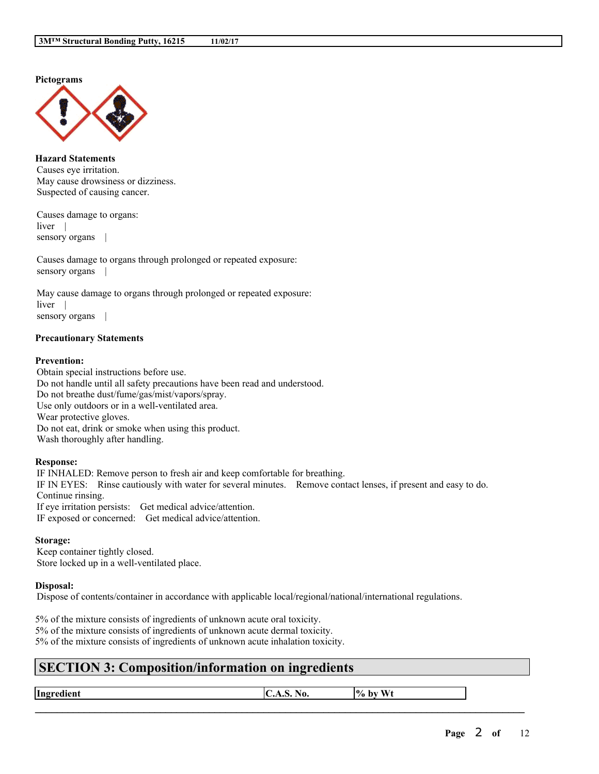**Pictograms**



**Hazard Statements** Causes eye irritation. May cause drowsiness or dizziness. Suspected of causing cancer.

Causes damage to organs: liver | sensory organs |

Causes damage to organs through prolonged or repeated exposure: sensory organs

May cause damage to organs through prolonged or repeated exposure: liver | sensory organs |

### **Precautionary Statements**

### **Prevention:**

Obtain special instructions before use. Do not handle until all safety precautions have been read and understood. Do not breathe dust/fume/gas/mist/vapors/spray. Use only outdoors or in a well-ventilated area. Wear protective gloves. Do not eat, drink or smoke when using this product. Wash thoroughly after handling.

### **Response:**

IF INHALED: Remove person to fresh air and keep comfortable for breathing. IF IN EYES: Rinse cautiously with water for several minutes. Remove contact lenses, if present and easy to do. Continue rinsing. If eye irritation persists: Get medical advice/attention. IF exposed or concerned: Get medical advice/attention.

#### **Storage:**

Keep container tightly closed. Store locked up in a well-ventilated place.

### **Disposal:**

Dispose of contents/container in accordance with applicable local/regional/national/international regulations.

5% of the mixture consists of ingredients of unknown acute oral toxicity. 5% of the mixture consists of ingredients of unknown acute dermal toxicity. 5% of the mixture consists of ingredients of unknown acute inhalation toxicity.

# **SECTION 3: Composition/information on ingredients**

**Ingredient**  $\vert C.A.S. N_0. \vert\vert\% \text{ by Wt}$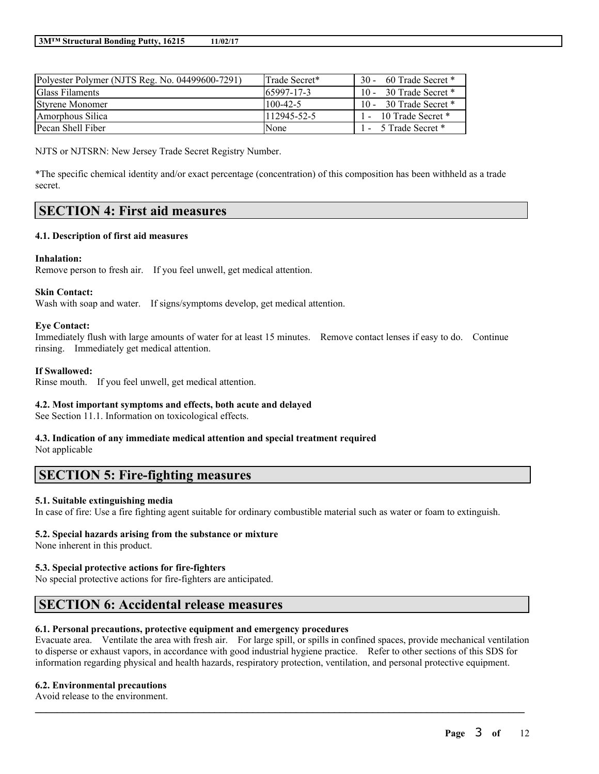| Polyester Polymer (NJTS Reg. No. 04499600-7291) | lTrade Secret* | 60 Trade Secret *<br>$30 -$ |
|-------------------------------------------------|----------------|-----------------------------|
| <b>Glass Filaments</b>                          | 65997-17-3     | 30 Trade Secret *<br>$10 -$ |
| Styrene Monomer                                 | $100-42-5$     | 30 Trade Secret *<br>$10 -$ |
| Amorphous Silica                                | 112945-52-5    | 1 - 10 Trade Secret *       |
| Pecan Shell Fiber                               | None           | 1 - 5 Trade Secret *        |

NJTS or NJTSRN: New Jersey Trade Secret Registry Number.

\*The specific chemical identity and/or exact percentage (concentration) of this composition has been withheld as a trade secret.

# **SECTION 4: First aid measures**

## **4.1. Description of first aid measures**

## **Inhalation:**

Remove person to fresh air. If you feel unwell, get medical attention.

### **Skin Contact:**

Wash with soap and water. If signs/symptoms develop, get medical attention.

### **Eye Contact:**

Immediately flush with large amounts of water for at least 15 minutes. Remove contact lenses if easy to do. Continue rinsing. Immediately get medical attention.

## **If Swallowed:**

Rinse mouth. If you feel unwell, get medical attention.

# **4.2. Most important symptoms and effects, both acute and delayed**

See Section 11.1. Information on toxicological effects.

# **4.3. Indication of any immediate medical attention and special treatment required**

Not applicable

# **SECTION 5: Fire-fighting measures**

# **5.1. Suitable extinguishing media**

In case of fire: Use a fire fighting agent suitable for ordinary combustible material such as water or foam to extinguish.

# **5.2. Special hazards arising from the substance or mixture**

None inherent in this product.

# **5.3. Special protective actions for fire-fighters**

No special protective actions for fire-fighters are anticipated.

# **SECTION 6: Accidental release measures**

# **6.1. Personal precautions, protective equipment and emergency procedures**

Evacuate area. Ventilate the area with fresh air. For large spill, or spills in confined spaces, provide mechanical ventilation to disperse or exhaust vapors, in accordance with good industrial hygiene practice. Refer to other sections of this SDS for information regarding physical and health hazards, respiratory protection, ventilation, and personal protective equipment.

 $\mathcal{L}_\mathcal{L} = \mathcal{L}_\mathcal{L} = \mathcal{L}_\mathcal{L} = \mathcal{L}_\mathcal{L} = \mathcal{L}_\mathcal{L} = \mathcal{L}_\mathcal{L} = \mathcal{L}_\mathcal{L} = \mathcal{L}_\mathcal{L} = \mathcal{L}_\mathcal{L} = \mathcal{L}_\mathcal{L} = \mathcal{L}_\mathcal{L} = \mathcal{L}_\mathcal{L} = \mathcal{L}_\mathcal{L} = \mathcal{L}_\mathcal{L} = \mathcal{L}_\mathcal{L} = \mathcal{L}_\mathcal{L} = \mathcal{L}_\mathcal{L}$ 

# **6.2. Environmental precautions**

Avoid release to the environment.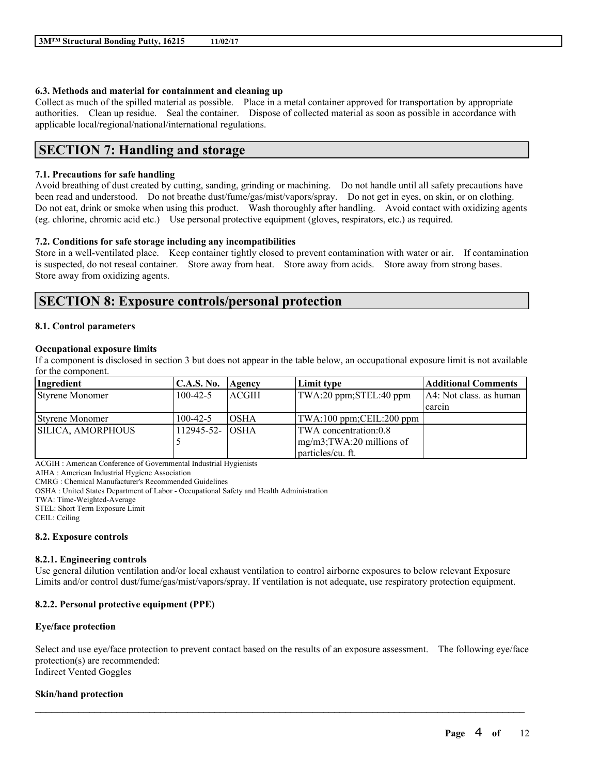# **6.3. Methods and material for containment and cleaning up**

Collect as much of the spilled material as possible. Place in a metal container approved for transportation by appropriate authorities. Clean up residue. Seal the container. Dispose of collected material as soon as possible in accordance with applicable local/regional/national/international regulations.

# **SECTION 7: Handling and storage**

# **7.1. Precautions for safe handling**

Avoid breathing of dust created by cutting, sanding, grinding or machining. Do not handle until all safety precautions have been read and understood. Do not breathe dust/fume/gas/mist/vapors/spray. Do not get in eyes, on skin, or on clothing. Do not eat, drink or smoke when using this product. Wash thoroughly after handling. Avoid contact with oxidizing agents (eg. chlorine, chromic acid etc.) Use personal protective equipment (gloves, respirators, etc.) as required.

# **7.2. Conditions for safe storage including any incompatibilities**

Store in a well-ventilated place. Keep container tightly closed to prevent contamination with water or air. If contamination is suspected, do not reseal container. Store away from heat. Store away from acids. Store away from strong bases. Store away from oxidizing agents.

# **SECTION 8: Exposure controls/personal protection**

## **8.1. Control parameters**

## **Occupational exposure limits**

If a component is disclosed in section 3 but does not appear in the table below, an occupational exposure limit is not available for the component.

| Ingredient               | <b>C.A.S. No.</b> | Agency       | Limit type                    | <b>Additional Comments</b> |
|--------------------------|-------------------|--------------|-------------------------------|----------------------------|
| <b>Styrene Monomer</b>   | $100-42-5$        | <b>ACGIH</b> | TWA:20 ppm;STEL:40 ppm        | A4: Not class. as human    |
|                          |                   |              |                               | carcin                     |
| <b>Styrene Monomer</b>   | $100-42-5$        | <b>IOSHA</b> | TWA:100 ppm;CEIL:200 ppm      |                            |
| <b>SILICA, AMORPHOUS</b> | 112945-52- OSHA   |              | TWA concentration:0.8         |                            |
|                          |                   |              | $mg/m3$ ; TWA: 20 millions of |                            |
|                          |                   |              | particles/cu. ft.             |                            |

ACGIH : American Conference of Governmental Industrial Hygienists

AIHA : American Industrial Hygiene Association

CMRG : Chemical Manufacturer's Recommended Guidelines

OSHA : United States Department of Labor - Occupational Safety and Health Administration

TWA: Time-Weighted-Average

STEL: Short Term Exposure Limit

CEIL: Ceiling

### **8.2. Exposure controls**

### **8.2.1. Engineering controls**

Use general dilution ventilation and/or local exhaust ventilation to control airborne exposures to below relevant Exposure Limits and/or control dust/fume/gas/mist/vapors/spray. If ventilation is not adequate, use respiratory protection equipment.

# **8.2.2. Personal protective equipment (PPE)**

### **Eye/face protection**

Select and use eye/face protection to prevent contact based on the results of an exposure assessment. The following eye/face protection(s) are recommended: Indirect Vented Goggles

 $\mathcal{L}_\mathcal{L} = \mathcal{L}_\mathcal{L} = \mathcal{L}_\mathcal{L} = \mathcal{L}_\mathcal{L} = \mathcal{L}_\mathcal{L} = \mathcal{L}_\mathcal{L} = \mathcal{L}_\mathcal{L} = \mathcal{L}_\mathcal{L} = \mathcal{L}_\mathcal{L} = \mathcal{L}_\mathcal{L} = \mathcal{L}_\mathcal{L} = \mathcal{L}_\mathcal{L} = \mathcal{L}_\mathcal{L} = \mathcal{L}_\mathcal{L} = \mathcal{L}_\mathcal{L} = \mathcal{L}_\mathcal{L} = \mathcal{L}_\mathcal{L}$ 

### **Skin/hand protection**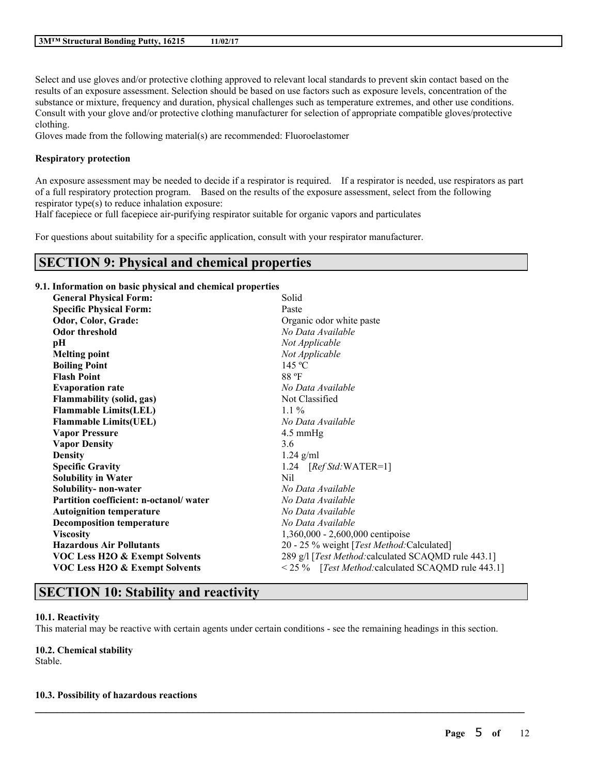Select and use gloves and/or protective clothing approved to relevant local standards to prevent skin contact based on the results of an exposure assessment. Selection should be based on use factors such as exposure levels, concentration of the substance or mixture, frequency and duration, physical challenges such as temperature extremes, and other use conditions. Consult with your glove and/or protective clothing manufacturer for selection of appropriate compatible gloves/protective clothing.

Gloves made from the following material(s) are recommended: Fluoroelastomer

### **Respiratory protection**

An exposure assessment may be needed to decide if a respirator is required. If a respirator is needed, use respirators as part of a full respiratory protection program. Based on the results of the exposure assessment, select from the following respirator type(s) to reduce inhalation exposure:

Half facepiece or full facepiece air-purifying respirator suitable for organic vapors and particulates

For questions about suitability for a specific application, consult with your respirator manufacturer.

# **SECTION 9: Physical and chemical properties**

# **9.1. Information on basic physical and chemical properties**

| <b>General Physical Form:</b>             | Solid                                               |
|-------------------------------------------|-----------------------------------------------------|
| <b>Specific Physical Form:</b>            | Paste                                               |
| Odor, Color, Grade:                       | Organic odor white paste                            |
| <b>Odor threshold</b>                     | No Data Available                                   |
| pН                                        | Not Applicable                                      |
| <b>Melting point</b>                      | Not Applicable                                      |
| <b>Boiling Point</b>                      | 145 °C                                              |
| <b>Flash Point</b>                        | 88 °F                                               |
| <b>Evaporation rate</b>                   | No Data Available                                   |
| <b>Flammability (solid, gas)</b>          | Not Classified                                      |
| <b>Flammable Limits(LEL)</b>              | $1.1\%$                                             |
| <b>Flammable Limits(UEL)</b>              | No Data Available                                   |
| <b>Vapor Pressure</b>                     | $4.5 \text{ mmHg}$                                  |
| <b>Vapor Density</b>                      | 3.6                                                 |
| <b>Density</b>                            | $1.24$ g/ml                                         |
| <b>Specific Gravity</b>                   | 1.24 $[RefStd:WATER=1]$                             |
| <b>Solubility in Water</b>                | Nil                                                 |
| Solubility- non-water                     | No Data Available                                   |
| Partition coefficient: n-octanol/water    | No Data Available                                   |
| <b>Autoignition temperature</b>           | No Data Available                                   |
| <b>Decomposition temperature</b>          | No Data Available                                   |
| <b>Viscosity</b>                          | 1,360,000 - 2,600,000 centipoise                    |
| <b>Hazardous Air Pollutants</b>           | 20 - 25 % weight [ <i>Test Method</i> :Calculated]  |
| <b>VOC Less H2O &amp; Exempt Solvents</b> | 289 g/l [Test Method: calculated SCAQMD rule 443.1] |
| <b>VOC Less H2O &amp; Exempt Solvents</b> | <25 % [Test Method: calculated SCAQMD rule 443.1]   |

# **SECTION 10: Stability and reactivity**

### **10.1. Reactivity**

This material may be reactive with certain agents under certain conditions - see the remaining headings in this section.

 $\mathcal{L}_\mathcal{L} = \mathcal{L}_\mathcal{L} = \mathcal{L}_\mathcal{L} = \mathcal{L}_\mathcal{L} = \mathcal{L}_\mathcal{L} = \mathcal{L}_\mathcal{L} = \mathcal{L}_\mathcal{L} = \mathcal{L}_\mathcal{L} = \mathcal{L}_\mathcal{L} = \mathcal{L}_\mathcal{L} = \mathcal{L}_\mathcal{L} = \mathcal{L}_\mathcal{L} = \mathcal{L}_\mathcal{L} = \mathcal{L}_\mathcal{L} = \mathcal{L}_\mathcal{L} = \mathcal{L}_\mathcal{L} = \mathcal{L}_\mathcal{L}$ 

# **10.2. Chemical stability**

Stable.

### **10.3. Possibility of hazardous reactions**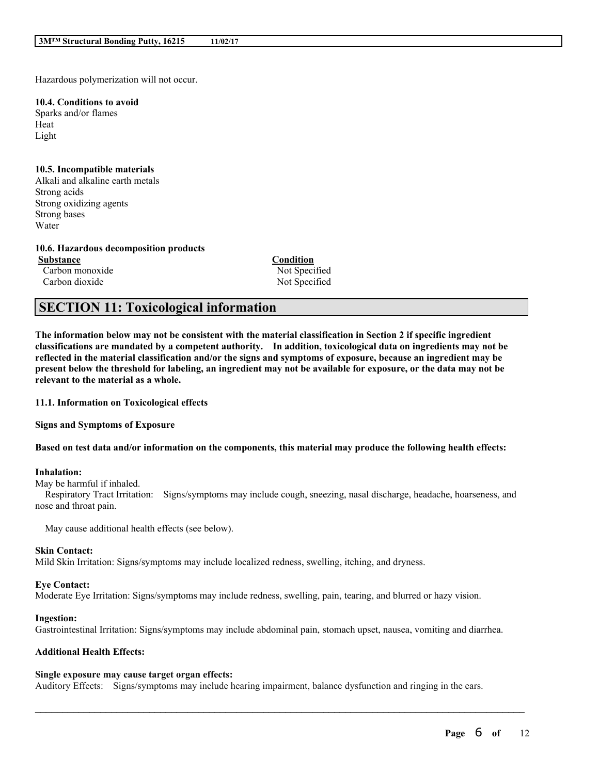Hazardous polymerization will not occur.

#### **10.4. Conditions to avoid** Sparks and/or flames

Heat Light

# **10.5. Incompatible materials**

Alkali and alkaline earth metals Strong acids Strong oxidizing agents Strong bases Water

### **10.6. Hazardous decomposition products**

**Substance Condition** Carbon monoxide Not Specified

Carbon dioxide Not Specified

# **SECTION 11: Toxicological information**

The information below may not be consistent with the material classification in Section 2 if specific ingredient **classifications are mandated by a competent authority. In addition, toxicological data on ingredients may not be** reflected in the material classification and/or the signs and symptoms of exposure, because an ingredient may be present below the threshold for labeling, an ingredient may not be available for exposure, or the data may not be **relevant to the material as a whole.**

**11.1. Information on Toxicological effects**

**Signs and Symptoms of Exposure**

Based on test data and/or information on the components, this material may produce the following health effects:

### **Inhalation:**

May be harmful if inhaled.

Respiratory Tract Irritation: Signs/symptoms may include cough, sneezing, nasal discharge, headache, hoarseness, and nose and throat pain.

May cause additional health effects (see below).

### **Skin Contact:**

Mild Skin Irritation: Signs/symptoms may include localized redness, swelling, itching, and dryness.

### **Eye Contact:**

Moderate Eye Irritation: Signs/symptoms may include redness, swelling, pain, tearing, and blurred or hazy vision.

### **Ingestion:**

Gastrointestinal Irritation: Signs/symptoms may include abdominal pain, stomach upset, nausea, vomiting and diarrhea.

### **Additional Health Effects:**

### **Single exposure may cause target organ effects:**

Auditory Effects: Signs/symptoms may include hearing impairment, balance dysfunction and ringing in the ears.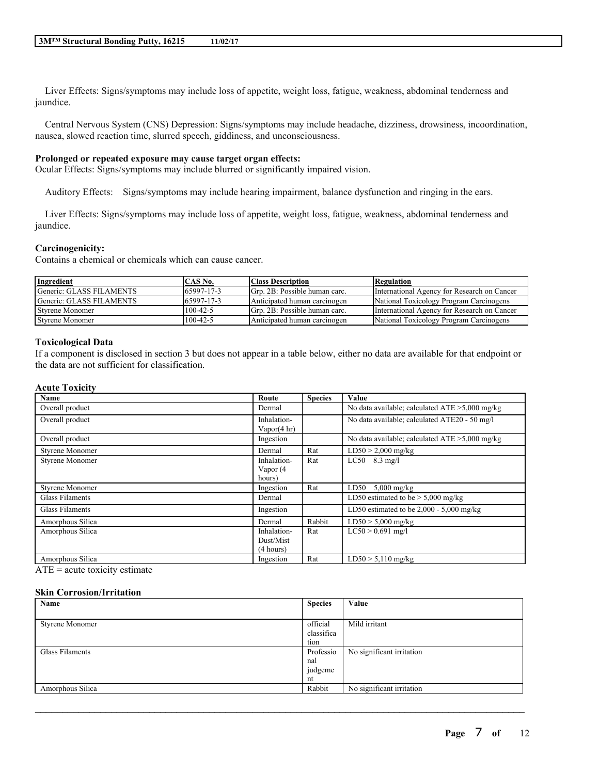Liver Effects: Signs/symptoms may include loss of appetite, weight loss, fatigue, weakness, abdominal tenderness and jaundice.

Central Nervous System (CNS) Depression: Signs/symptoms may include headache, dizziness, drowsiness, incoordination, nausea, slowed reaction time, slurred speech, giddiness, and unconsciousness.

# **Prolonged or repeated exposure may cause target organ effects:**

Ocular Effects: Signs/symptoms may include blurred or significantly impaired vision.

Auditory Effects: Signs/symptoms may include hearing impairment, balance dysfunction and ringing in the ears.

Liver Effects: Signs/symptoms may include loss of appetite, weight loss, fatigue, weakness, abdominal tenderness and jaundice.

### **Carcinogenicity:**

Contains a chemical or chemicals which can cause cancer.

| Ingredient               | CAS No.        | <b>Class Description</b>      | <b>Regulation</b>                           |
|--------------------------|----------------|-------------------------------|---------------------------------------------|
| Generic: GLASS FILAMENTS | 65997-17-3     | Grp. 2B: Possible human carc. | International Agency for Research on Cancer |
| Generic: GLASS FILAMENTS | 65997-17-3     | Anticipated human carcinogen  | National Toxicology Program Carcinogens     |
| <b>Styrene Monomer</b>   | $100 - 42 - 5$ | Grp. 2B: Possible human carc. | International Agency for Research on Cancer |
| <b>Styrene Monomer</b>   | $100 - 42 - 5$ | Anticipated human carcinogen  | National Toxicology Program Carcinogens     |

#### **Toxicological Data**

If a component is disclosed in section 3 but does not appear in a table below, either no data are available for that endpoint or the data are not sufficient for classification.

#### **Acute Toxicity**

| Name                   | Route                                 | <b>Species</b> | Value                                             |
|------------------------|---------------------------------------|----------------|---------------------------------------------------|
| Overall product        | Dermal                                |                | No data available; calculated $ATE > 5,000$ mg/kg |
| Overall product        | Inhalation-<br>Vapor $(4 \text{ hr})$ |                | No data available; calculated ATE20 - 50 mg/l     |
| Overall product        | Ingestion                             |                | No data available; calculated $ATE > 5,000$ mg/kg |
| <b>Styrene Monomer</b> | Dermal                                | Rat            | $LD50 > 2,000$ mg/kg                              |
| <b>Styrene Monomer</b> | Inhalation-                           | Rat            | $LC50$ 8.3 mg/l                                   |
|                        | Vapor (4                              |                |                                                   |
|                        | hours)                                |                |                                                   |
| <b>Styrene Monomer</b> | Ingestion                             | Rat            | LD50<br>$5,000$ mg/kg                             |
| Glass Filaments        | Dermal                                |                | LD50 estimated to be $> 5,000$ mg/kg              |
| Glass Filaments        | Ingestion                             |                | LD50 estimated to be $2,000 - 5,000$ mg/kg        |
| Amorphous Silica       | Dermal                                | Rabbit         | $LD50 > 5,000$ mg/kg                              |
| Amorphous Silica       | Inhalation-                           | Rat            | $LC50 > 0.691$ mg/l                               |
|                        | Dust/Mist                             |                |                                                   |
|                        | (4 hours)                             |                |                                                   |
| Amorphous Silica       | Ingestion                             | Rat            | $LD50 > 5,110$ mg/kg                              |

 $ATE = acute$  toxicity estimate

#### **Skin Corrosion/Irritation**

| Name                   | <b>Species</b> | Value                     |
|------------------------|----------------|---------------------------|
|                        |                |                           |
| <b>Styrene Monomer</b> | official       | Mild irritant             |
|                        | classifica     |                           |
|                        | tion           |                           |
| Glass Filaments        | Professio      | No significant irritation |
|                        | nal            |                           |
|                        | judgeme        |                           |
|                        | nt             |                           |
| Amorphous Silica       | Rabbit         | No significant irritation |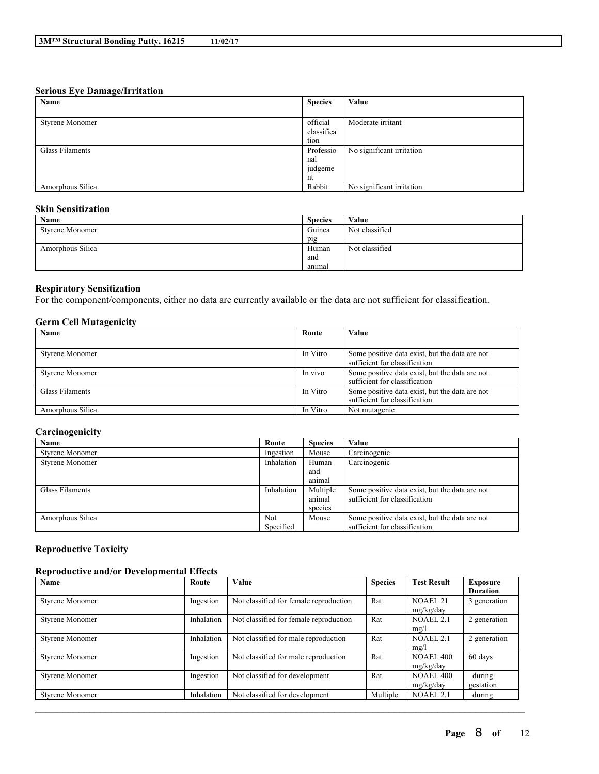#### **Serious Eye Damage/Irritation**

| Name             | <b>Species</b> | Value                     |
|------------------|----------------|---------------------------|
|                  |                |                           |
| Styrene Monomer  | official       | Moderate irritant         |
|                  | classifica     |                           |
|                  | tion           |                           |
| Glass Filaments  | Professio      | No significant irritation |
|                  | nal            |                           |
|                  | judgeme        |                           |
|                  | nt             |                           |
| Amorphous Silica | Rabbit         | No significant irritation |

# **Skin Sensitization**

| Name                   | <b>Species</b> | Value          |
|------------------------|----------------|----------------|
| <b>Styrene Monomer</b> | Guinea         | Not classified |
|                        | pig            |                |
| Amorphous Silica       | Human          | Not classified |
|                        | and            |                |
|                        | animal         |                |

# **Respiratory Sensitization**

For the component/components, either no data are currently available or the data are not sufficient for classification.

# **Germ Cell Mutagenicity**

| Name                   | Route    | Value                                                                           |
|------------------------|----------|---------------------------------------------------------------------------------|
|                        |          |                                                                                 |
| <b>Styrene Monomer</b> | In Vitro | Some positive data exist, but the data are not<br>sufficient for classification |
| <b>Styrene Monomer</b> | In vivo  | Some positive data exist, but the data are not<br>sufficient for classification |
| Glass Filaments        | In Vitro | Some positive data exist, but the data are not<br>sufficient for classification |
| Amorphous Silica       | In Vitro | Not mutagenic                                                                   |

# **Carcinogenicity**

| Name                   | Route      | <b>Species</b> | Value                                          |
|------------------------|------------|----------------|------------------------------------------------|
| <b>Styrene Monomer</b> | Ingestion  | Mouse          | Carcinogenic                                   |
| <b>Styrene Monomer</b> | Inhalation | Human          | Carcinogenic                                   |
|                        |            | and            |                                                |
|                        |            | animal         |                                                |
| Glass Filaments        | Inhalation | Multiple       | Some positive data exist, but the data are not |
|                        |            | animal         | sufficient for classification                  |
|                        |            | species        |                                                |
| Amorphous Silica       | <b>Not</b> | Mouse          | Some positive data exist, but the data are not |
|                        | Specified  |                | sufficient for classification                  |

# **Reproductive Toxicity**

# **Reproductive and/or Developmental Effects**

| Name                   | Route      | <b>Value</b>                           | <b>Species</b> | <b>Test Result</b>            | Exposure<br><b>Duration</b> |
|------------------------|------------|----------------------------------------|----------------|-------------------------------|-----------------------------|
| <b>Styrene Monomer</b> | Ingestion  | Not classified for female reproduction | Rat            | <b>NOAEL 21</b><br>mg/kg/day  | 3 generation                |
| <b>Styrene Monomer</b> | Inhalation | Not classified for female reproduction | Rat            | <b>NOAEL 2.1</b><br>mg/l      | 2 generation                |
| <b>Styrene Monomer</b> | Inhalation | Not classified for male reproduction   | Rat            | <b>NOAEL 2.1</b><br>mg/l      | 2 generation                |
| <b>Styrene Monomer</b> | Ingestion  | Not classified for male reproduction   | Rat            | <b>NOAEL 400</b><br>mg/kg/day | 60 days                     |
| <b>Styrene Monomer</b> | Ingestion  | Not classified for development         | Rat            | <b>NOAEL 400</b><br>mg/kg/day | during<br>gestation         |
| <b>Styrene Monomer</b> | Inhalation | Not classified for development         | Multiple       | <b>NOAEL 2.1</b>              | during                      |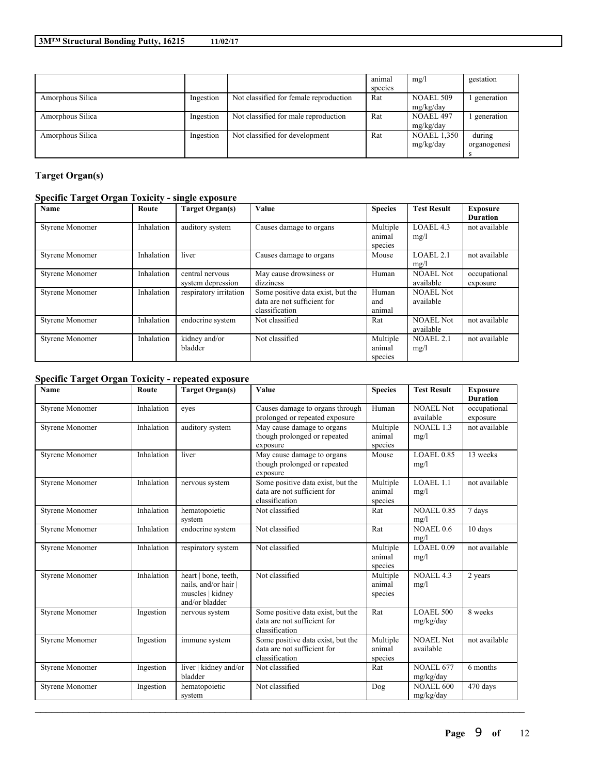|                  |           |                                        | animal  | mg/l               | gestation    |
|------------------|-----------|----------------------------------------|---------|--------------------|--------------|
|                  |           |                                        | species |                    |              |
| Amorphous Silica | Ingestion | Not classified for female reproduction | Rat     | <b>NOAEL 509</b>   | generation   |
|                  |           |                                        |         | mg/kg/day          |              |
| Amorphous Silica | Ingestion | Not classified for male reproduction   | Rat     | NOAEL 497          | generation   |
|                  |           |                                        |         | mg/kg/day          |              |
| Amorphous Silica | Ingestion | Not classified for development         | Rat     | <b>NOAEL 1,350</b> | during       |
|                  |           |                                        |         | mg/kg/day          | organogenesi |
|                  |           |                                        |         |                    |              |

# **Target Organ(s)**

# **Specific Target Organ Toxicity - single exposure**

| Name                   | Route      | <b>Target Organ(s)</b>               | Value                                                                              | <b>Species</b>                | <b>Test Result</b>            | <b>Exposure</b><br><b>Duration</b> |
|------------------------|------------|--------------------------------------|------------------------------------------------------------------------------------|-------------------------------|-------------------------------|------------------------------------|
| <b>Styrene Monomer</b> | Inhalation | auditory system                      | Causes damage to organs                                                            | Multiple<br>animal<br>species | LOAEL 4.3<br>mg/l             | not available                      |
| <b>Styrene Monomer</b> | Inhalation | liver                                | Causes damage to organs                                                            | Mouse                         | LOAEL 2.1<br>mg/l             | not available                      |
| <b>Styrene Monomer</b> | Inhalation | central nervous<br>system depression | May cause drowsiness or<br>dizziness                                               | Human                         | <b>NOAEL Not</b><br>available | occupational<br>exposure           |
| <b>Styrene Monomer</b> | Inhalation | respiratory irritation               | Some positive data exist, but the<br>data are not sufficient for<br>classification | Human<br>and<br>animal        | <b>NOAEL Not</b><br>available |                                    |
| <b>Styrene Monomer</b> | Inhalation | endocrine system                     | Not classified                                                                     | Rat                           | <b>NOAEL Not</b><br>available | not available                      |
| <b>Styrene Monomer</b> | Inhalation | kidney and/or<br>bladder             | Not classified                                                                     | Multiple<br>animal<br>species | NOAEL 2.1<br>mg/l             | not available                      |

# **Specific Target Organ Toxicity - repeated exposure**

| Name                   | Route      | <b>Target Organ(s)</b>                                                           | Value                                                                              | <b>Species</b>                | <b>Test Result</b>            | <b>Exposure</b><br><b>Duration</b> |
|------------------------|------------|----------------------------------------------------------------------------------|------------------------------------------------------------------------------------|-------------------------------|-------------------------------|------------------------------------|
| <b>Styrene Monomer</b> | Inhalation | eyes                                                                             | Causes damage to organs through<br>prolonged or repeated exposure                  | Human                         | <b>NOAEL Not</b><br>available | occupational<br>exposure           |
| <b>Styrene Monomer</b> | Inhalation | auditory system                                                                  | May cause damage to organs<br>though prolonged or repeated<br>exposure             | Multiple<br>animal<br>species | NOAEL 1.3<br>mg/l             | not available                      |
| <b>Styrene Monomer</b> | Inhalation | liver                                                                            | May cause damage to organs<br>though prolonged or repeated<br>exposure             | Mouse                         | <b>LOAEL 0.85</b><br>mg/l     | 13 weeks                           |
| <b>Styrene Monomer</b> | Inhalation | nervous system                                                                   | Some positive data exist, but the<br>data are not sufficient for<br>classification | Multiple<br>animal<br>species | LOAEL1.1<br>mg/l              | not available                      |
| <b>Styrene Monomer</b> | Inhalation | hematopoietic<br>system                                                          | Not classified                                                                     | Rat                           | <b>NOAEL 0.85</b><br>mg/l     | 7 days                             |
| <b>Styrene Monomer</b> | Inhalation | endocrine system                                                                 | Not classified                                                                     | Rat                           | NOAEL0.6<br>mg/l              | 10 days                            |
| <b>Styrene Monomer</b> | Inhalation | respiratory system                                                               | Not classified                                                                     | Multiple<br>animal<br>species | LOAEL 0.09<br>mg/l            | not available                      |
| <b>Styrene Monomer</b> | Inhalation | heart   bone, teeth,<br>nails, and/or hair<br>muscles   kidney<br>and/or bladder | Not classified                                                                     | Multiple<br>animal<br>species | NOAEL 4.3<br>mg/l             | 2 years                            |
| <b>Styrene Monomer</b> | Ingestion  | nervous system                                                                   | Some positive data exist, but the<br>data are not sufficient for<br>classification | Rat                           | <b>LOAEL 500</b><br>mg/kg/day | 8 weeks                            |
| <b>Styrene Monomer</b> | Ingestion  | immune system                                                                    | Some positive data exist, but the<br>data are not sufficient for<br>classification | Multiple<br>animal<br>species | <b>NOAEL Not</b><br>available | not available                      |
| <b>Styrene Monomer</b> | Ingestion  | liver   kidney and/or<br>bladder                                                 | Not classified                                                                     | Rat                           | <b>NOAEL 677</b><br>mg/kg/day | 6 months                           |
| Styrene Monomer        | Ingestion  | hematopoietic<br>system                                                          | Not classified                                                                     | Dog                           | <b>NOAEL 600</b><br>mg/kg/day | 470 days                           |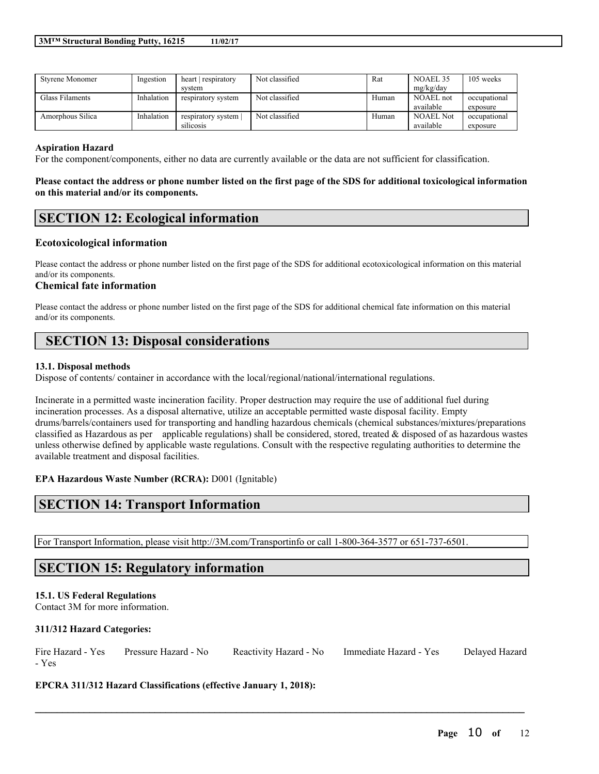| <b>Styrene Monomer</b> | Ingestion  | heart respiratory  | Not classified | Rat   | NOAEL 35         | 105 weeks    |
|------------------------|------------|--------------------|----------------|-------|------------------|--------------|
|                        |            | system             |                |       | mg/kg/day        |              |
| Glass Filaments        | Inhalation | respiratory system | Not classified | Human | NOAEL not        | occupational |
|                        |            |                    |                |       | available        | exposure     |
| Amorphous Silica       | Inhalation | respiratory system | Not classified | Human | <b>NOAEL Not</b> | occupational |
|                        |            | silicosis          |                |       | available        | exposure     |

### **Aspiration Hazard**

For the component/components, either no data are currently available or the data are not sufficient for classification.

### Please contact the address or phone number listed on the first page of the SDS for additional toxicological information **on this material and/or its components.**

# **SECTION 12: Ecological information**

## **Ecotoxicological information**

Please contact the address or phone number listed on the first page of the SDS for additional ecotoxicological information on this material and/or its components.

### **Chemical fate information**

Please contact the address or phone number listed on the first page of the SDS for additional chemical fate information on this material and/or its components.

# **SECTION 13: Disposal considerations**

#### **13.1. Disposal methods**

Dispose of contents/ container in accordance with the local/regional/national/international regulations.

Incinerate in a permitted waste incineration facility. Proper destruction may require the use of additional fuel during incineration processes. As a disposal alternative, utilize an acceptable permitted waste disposal facility. Empty drums/barrels/containers used for transporting and handling hazardous chemicals (chemical substances/mixtures/preparations classified as Hazardous as per applicable regulations) shall be considered, stored, treated  $\&$  disposed of as hazardous wastes unless otherwise defined by applicable waste regulations. Consult with the respective regulating authorities to determine the available treatment and disposal facilities.

**EPA Hazardous Waste Number (RCRA):** D001 (Ignitable)

# **SECTION 14: Transport Information**

For Transport Information, please visit http://3M.com/Transportinfo or call 1-800-364-3577 or 651-737-6501.

# **SECTION 15: Regulatory information**

### **15.1. US Federal Regulations**

Contact 3M for more information.

### **311/312 Hazard Categories:**

| Fire Hazard - Yes | Pressure Hazard - No | Reactivity Hazard - No | Immediate Hazard - Yes | Delayed Hazard |
|-------------------|----------------------|------------------------|------------------------|----------------|
| - Yes             |                      |                        |                        |                |

 $\mathcal{L}_\mathcal{L} = \mathcal{L}_\mathcal{L} = \mathcal{L}_\mathcal{L} = \mathcal{L}_\mathcal{L} = \mathcal{L}_\mathcal{L} = \mathcal{L}_\mathcal{L} = \mathcal{L}_\mathcal{L} = \mathcal{L}_\mathcal{L} = \mathcal{L}_\mathcal{L} = \mathcal{L}_\mathcal{L} = \mathcal{L}_\mathcal{L} = \mathcal{L}_\mathcal{L} = \mathcal{L}_\mathcal{L} = \mathcal{L}_\mathcal{L} = \mathcal{L}_\mathcal{L} = \mathcal{L}_\mathcal{L} = \mathcal{L}_\mathcal{L}$ 

**EPCRA 311/312 Hazard Classifications (effective January 1, 2018):**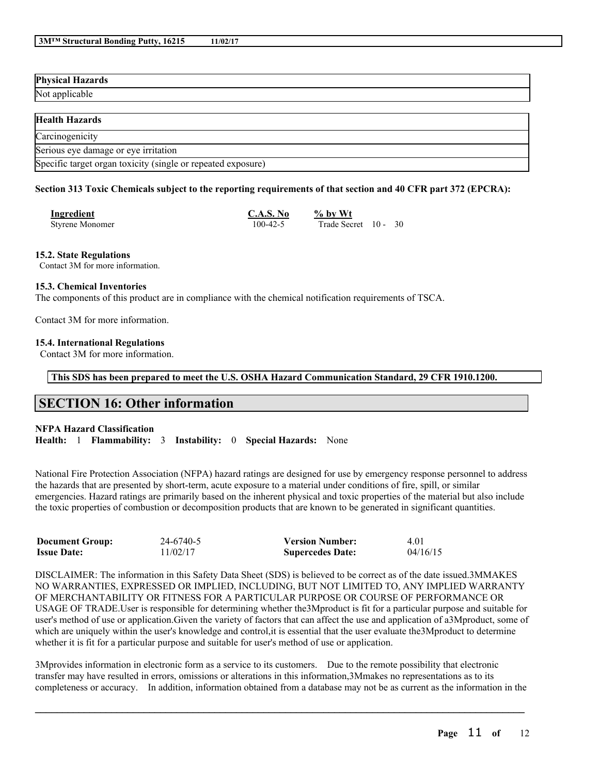| <b>Physical Hazards</b> |  |
|-------------------------|--|
| Not applicable          |  |
|                         |  |
| <b>Health Hazards</b>   |  |

| Carcinogenicity                                              |  |
|--------------------------------------------------------------|--|
| Serious eye damage or eye irritation                         |  |
| Specific target organ toxicity (single or repeated exposure) |  |

### Section 313 Toxic Chemicals subject to the reporting requirements of that section and 40 CFR part 372 (EPCRA):

| Ingredient             | <b>C.A.S. No</b> | $\%$ by Wt        |
|------------------------|------------------|-------------------|
| <b>Styrene Monomer</b> | 100-42-5         | Trade Secret 10 - |

### **15.2. State Regulations**

Contact 3M for more information.

### **15.3. Chemical Inventories**

The components of this product are in compliance with the chemical notification requirements of TSCA.

Contact 3M for more information.

### **15.4. International Regulations**

Contact 3M for more information.

**This SDS has been prepared to meet the U.S. OSHA Hazard Communication Standard, 29 CFR 1910.1200.**

# **SECTION 16: Other information**

### **NFPA Hazard Classification**

**Health:** 1 **Flammability:** 3 **Instability:** 0 **Special Hazards:** None

National Fire Protection Association (NFPA) hazard ratings are designed for use by emergency response personnel to address the hazards that are presented by short-term, acute exposure to a material under conditions of fire, spill, or similar emergencies. Hazard ratings are primarily based on the inherent physical and toxic properties of the material but also include the toxic properties of combustion or decomposition products that are known to be generated in significant quantities.

| <b>Document Group:</b> | 24-6740-5 | <b>Version Number:</b>  | 4.01     |
|------------------------|-----------|-------------------------|----------|
| <b>Issue Date:</b>     | 11/02/17  | <b>Supercedes Date:</b> | 04/16/15 |

DISCLAIMER: The information in this Safety Data Sheet (SDS) is believed to be correct as of the date issued.3MMAKES NO WARRANTIES, EXPRESSED OR IMPLIED, INCLUDING, BUT NOT LIMITED TO, ANY IMPLIED WARRANTY OF MERCHANTABILITY OR FITNESS FOR A PARTICULAR PURPOSE OR COURSE OF PERFORMANCE OR USAGE OF TRADE.User is responsible for determining whether the3Mproduct is fit for a particular purpose and suitable for user's method of use or application.Given the variety of factors that can affect the use and application of a3Mproduct, some of which are uniquely within the user's knowledge and control, it is essential that the user evaluate the 3M product to determine whether it is fit for a particular purpose and suitable for user's method of use or application.

3Mprovides information in electronic form as a service to its customers. Due to the remote possibility that electronic transfer may have resulted in errors, omissions or alterations in this information,3Mmakes no representations as to its completeness or accuracy. In addition, information obtained from a database may not be as current as the information in the